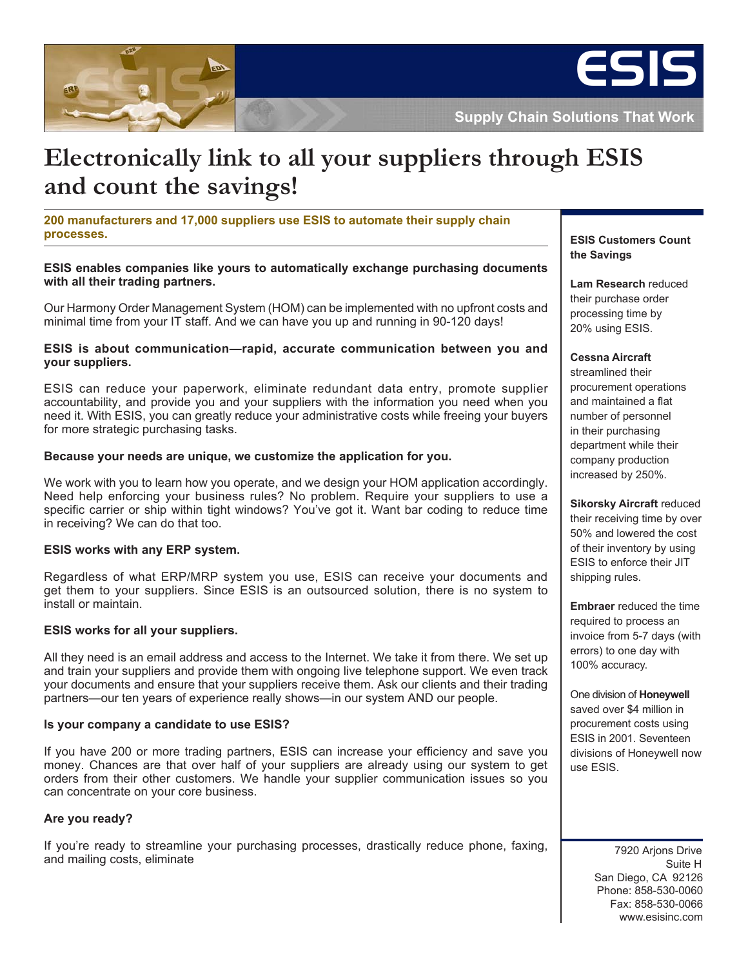



# **Electronically link to all your suppliers through ESIS and count the savings!**

**200 manufacturers and 17,000 suppliers use ESIS to automate their supply chain processes.**

#### **ESIS enables companies like yours to automatically exchange purchasing documents with all their trading partners.**

Our Harmony Order Management System (HOM) can be implemented with no upfront costs and minimal time from your IT staff. And we can have you up and running in 90-120 days!

#### **ESIS is about communication—rapid, accurate communication between you and your suppliers.**

ESIS can reduce your paperwork, eliminate redundant data entry, promote supplier accountability, and provide you and your suppliers with the information you need when you need it. With ESIS, you can greatly reduce your administrative costs while freeing your buyers for more strategic purchasing tasks.

#### **Because your needs are unique, we customize the application for you.**

We work with you to learn how you operate, and we design your HOM application accordingly. Need help enforcing your business rules? No problem. Require your suppliers to use a specific carrier or ship within tight windows? You've got it. Want bar coding to reduce time in receiving? We can do that too.

#### **ESIS works with any ERP system.**

Regardless of what ERP/MRP system you use, ESIS can receive your documents and get them to your suppliers. Since ESIS is an outsourced solution, there is no system to install or maintain.

#### **ESIS works for all your suppliers.**

All they need is an email address and access to the Internet. We take it from there. We set up and train your suppliers and provide them with ongoing live telephone support. We even track your documents and ensure that your suppliers receive them. Ask our clients and their trading partners—our ten years of experience really shows—in our system AND our people.

#### **Is your company a candidate to use ESIS?**

If you have 200 or more trading partners, ESIS can increase your efficiency and save you money. Chances are that over half of your suppliers are already using our system to get orders from their other customers. We handle your supplier communication issues so you can concentrate on your core business.

#### **Are you ready?**

If you're ready to streamline your purchasing processes, drastically reduce phone, faxing, and mailing costs, eliminate

### **ESIS Customers Count the Savings**

**Lam Research** reduced their purchase order processing time by 20% using ESIS.

#### **Cessna Aircraft**

streamlined their procurement operations and maintained a flat number of personnel in their purchasing department while their company production increased by 250%.

**Sikorsky Aircraft** reduced their receiving time by over 50% and lowered the cost of their inventory by using ESIS to enforce their JIT shipping rules.

**Embraer** reduced the time required to process an invoice from 5-7 days (with errors) to one day with 100% accuracy.

One division of **Honeywell** saved over \$4 million in procurement costs using ESIS in 2001. Seventeen divisions of Honeywell now use ESIS.

> 7920 Arjons Drive Suite H San Diego, CA 92126 Phone: 858-530-0060 Fax: 858-530-0066 www.esisinc.com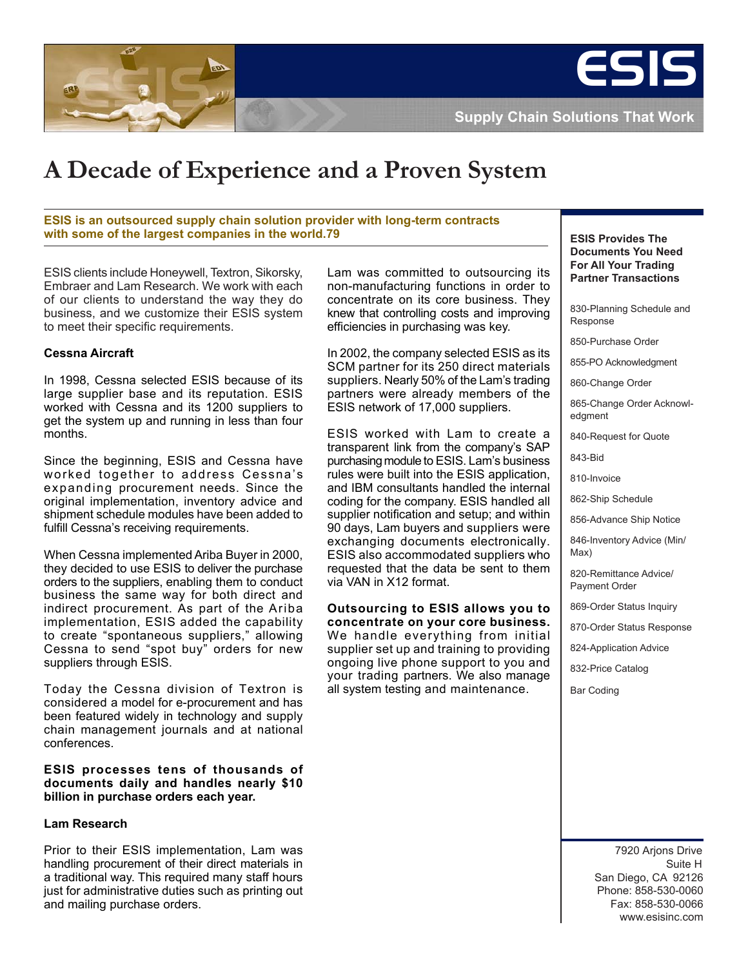



# **A Decade of Experience and a Proven System**

**ESIS is an outsourced supply chain solution provider with long-term contracts with some of the largest companies in the world.79** 

ESIS clients include Honeywell, Textron, Sikorsky, Embraer and Lam Research. We work with each of our clients to understand the way they do business, and we customize their ESIS system to meet their specific requirements.

#### **Cessna Aircraft**

In 1998, Cessna selected ESIS because of its large supplier base and its reputation. ESIS worked with Cessna and its 1200 suppliers to get the system up and running in less than four months.

Since the beginning, ESIS and Cessna have worked together to address Cessna's expanding procurement needs. Since the original implementation, inventory advice and shipment schedule modules have been added to fulfill Cessna's receiving requirements.

When Cessna implemented Ariba Buyer in 2000, they decided to use ESIS to deliver the purchase orders to the suppliers, enabling them to conduct business the same way for both direct and indirect procurement. As part of the Ariba implementation, ESIS added the capability to create "spontaneous suppliers," allowing Cessna to send "spot buy" orders for new suppliers through ESIS.

Today the Cessna division of Textron is considered a model for e-procurement and has been featured widely in technology and supply chain management journals and at national conferences.

#### **ESIS processes tens of thousands of documents daily and handles nearly \$10 billion in purchase orders each year.**

#### **Lam Research**

Prior to their ESIS implementation, Lam was handling procurement of their direct materials in a traditional way. This required many staff hours just for administrative duties such as printing out and mailing purchase orders.

Lam was committed to outsourcing its non-manufacturing functions in order to concentrate on its core business. They knew that controlling costs and improving efficiencies in purchasing was key.

In 2002, the company selected ESIS as its SCM partner for its 250 direct materials suppliers. Nearly 50% of the Lam's trading partners were already members of the ESIS network of 17,000 suppliers.

ESIS worked with Lam to create a transparent link from the company's SAP purchasing module to ESIS. Lam's business rules were built into the ESIS application, and IBM consultants handled the internal coding for the company. ESIS handled all supplier notification and setup; and within 90 days, Lam buyers and suppliers were exchanging documents electronically. ESIS also accommodated suppliers who requested that the data be sent to them via VAN in X12 format.

**Outsourcing to ESIS allows you to concentrate on your core business.** We handle everything from initial supplier set up and training to providing ongoing live phone support to you and your trading partners. We also manage all system testing and maintenance.

#### **ESIS Provides The Documents You Need For All Your Trading Partner Transactions**

830-Planning Schedule and Response

850-Purchase Order

855-PO Acknowledgment

860-Change Order

865-Change Order Acknowledgment

840-Request for Quote

843-Bid

810-Invoice

862-Ship Schedule

856-Advance Ship Notice

846-Inventory Advice (Min/ Max)

820-Remittance Advice/ Payment Order

869-Order Status Inquiry

870-Order Status Response

824-Application Advice

832-Price Catalog

Bar Coding

 7920 Arjons Drive Suite H San Diego, CA 92126 Phone: 858-530-0060 Fax: 858-530-0066 www.esisinc.com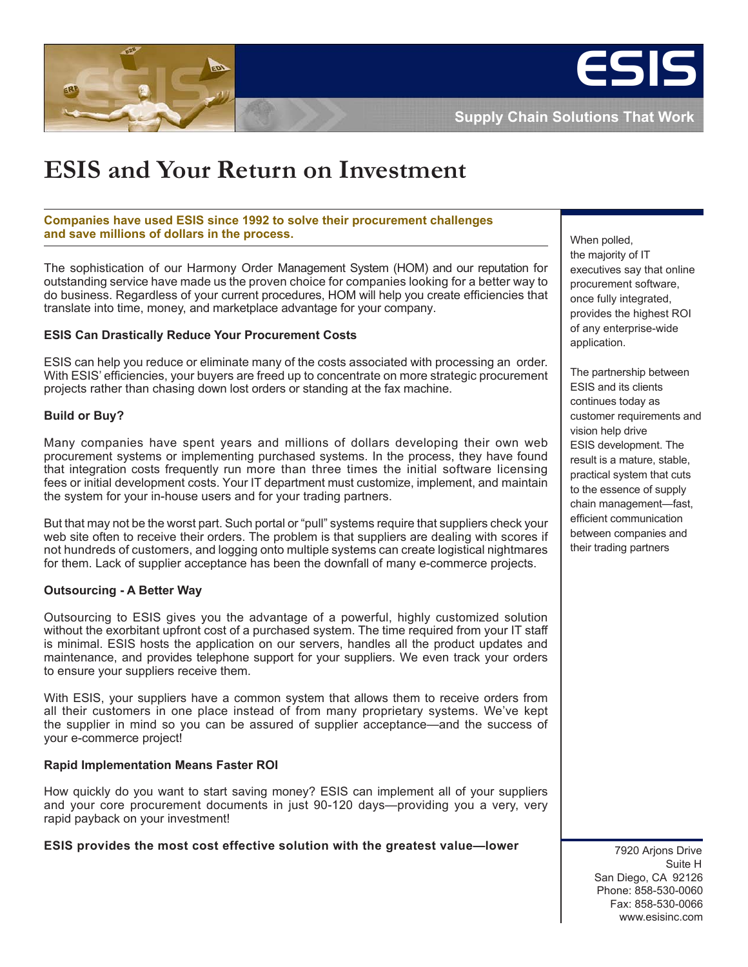



# **ESIS and Your Return on Investment**

**Companies have used ESIS since 1992 to solve their procurement challenges and save millions of dollars in the process.** 

The sophistication of our Harmony Order Management System (HOM) and our reputation for outstanding service have made us the proven choice for companies looking for a better way to do business. Regardless of your current procedures, HOM will help you create efficiencies that translate into time, money, and marketplace advantage for your company.

#### **ESIS Can Drastically Reduce Your Procurement Costs**

ESIS can help you reduce or eliminate many of the costs associated with processing an order. With ESIS' efficiencies, your buyers are freed up to concentrate on more strategic procurement projects rather than chasing down lost orders or standing at the fax machine.

#### **Build or Buy?**

Many companies have spent years and millions of dollars developing their own web procurement systems or implementing purchased systems. In the process, they have found that integration costs frequently run more than three times the initial software licensing fees or initial development costs. Your IT department must customize, implement, and maintain the system for your in-house users and for your trading partners.

But that may not be the worst part. Such portal or "pull" systems require that suppliers check your web site often to receive their orders. The problem is that suppliers are dealing with scores if not hundreds of customers, and logging onto multiple systems can create logistical nightmares for them. Lack of supplier acceptance has been the downfall of many e-commerce projects.

#### **Outsourcing - A Better Way**

Outsourcing to ESIS gives you the advantage of a powerful, highly customized solution without the exorbitant upfront cost of a purchased system. The time required from your IT staff is minimal. ESIS hosts the application on our servers, handles all the product updates and maintenance, and provides telephone support for your suppliers. We even track your orders to ensure your suppliers receive them.

With ESIS, your suppliers have a common system that allows them to receive orders from all their customers in one place instead of from many proprietary systems. We've kept the supplier in mind so you can be assured of supplier acceptance—and the success of your e-commerce project!

#### **Rapid Implementation Means Faster ROI**

How quickly do you want to start saving money? ESIS can implement all of your suppliers and your core procurement documents in just 90-120 days—providing you a very, very rapid payback on your investment!

## **ESIS provides the most cost effective solution with the greatest value—lower**<br>7920 Arjons Drive

When polled, the majority of IT executives say that online procurement software, once fully integrated, provides the highest ROI of any enterprise-wide application.

The partnership between ESIS and its clients continues today as customer requirements and vision help drive ESIS development. The result is a mature, stable, practical system that cuts to the essence of supply chain management—fast, efficient communication between companies and their trading partners

> Suite H San Diego, CA 92126 Phone: 858-530-0060 Fax: 858-530-0066 www.esisinc.com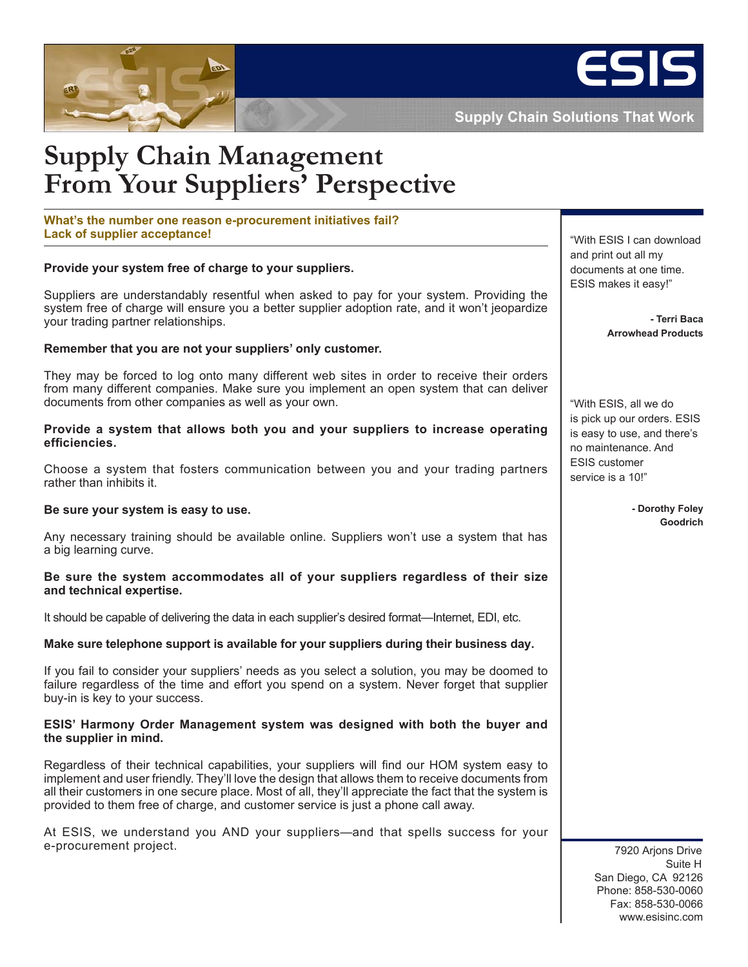



# **Supply Chain Management From Your Suppliers' Perspective**

#### **What's the number one reason e-procurement initiatives fail? Lack of supplier acceptance!**

#### **Provide your system free of charge to your suppliers.**

Suppliers are understandably resentful when asked to pay for your system. Providing the system free of charge will ensure you a better supplier adoption rate, and it won't jeopardize your trading partner relationships.

#### **Remember that you are not your suppliers' only customer.**

They may be forced to log onto many different web sites in order to receive their orders from many different companies. Make sure you implement an open system that can deliver documents from other companies as well as your own.

#### **Provide a system that allows both you and your suppliers to increase operating efficiencies.**

Choose a system that fosters communication between you and your trading partners rather than inhibits it.

#### **Be sure your system is easy to use.**

Any necessary training should be available online. Suppliers won't use a system that has a big learning curve.

#### **Be sure the system accommodates all of your suppliers regardless of their size and technical expertise.**

It should be capable of delivering the data in each supplier's desired format—Internet, EDI, etc.

### **Make sure telephone support is available for your suppliers during their business day.**

If you fail to consider your suppliers' needs as you select a solution, you may be doomed to failure regardless of the time and effort you spend on a system. Never forget that supplier buy-in is key to your success.

#### **ESIS' Harmony Order Management system was designed with both the buyer and the supplier in mind.**

Regardless of their technical capabilities, your suppliers will find our HOM system easy to implement and user friendly. They'll love the design that allows them to receive documents from all their customers in one secure place. Most of all, they'll appreciate the fact that the system is provided to them free of charge, and customer service is just a phone call away.

At ESIS, we understand you AND your suppliers—and that spells success for your e-procurement project. The contract of the contract of the contract of the contract of the contract of the contract of the contract of the contract of the contract of the contract of the contract of the contract of the con

"With ESIS I can download and print out all my documents at one time. ESIS makes it easy!"

> **- Terri Baca Arrowhead Products**

"With ESIS, all we do is pick up our orders. ESIS is easy to use, and there's no maintenance. And ESIS customer service is a 10!"

> **- Dorothy Foley Goodrich**

 Suite H San Diego, CA 92126 Phone: 858-530-0060 Fax: 858-530-0066 www.esisinc.com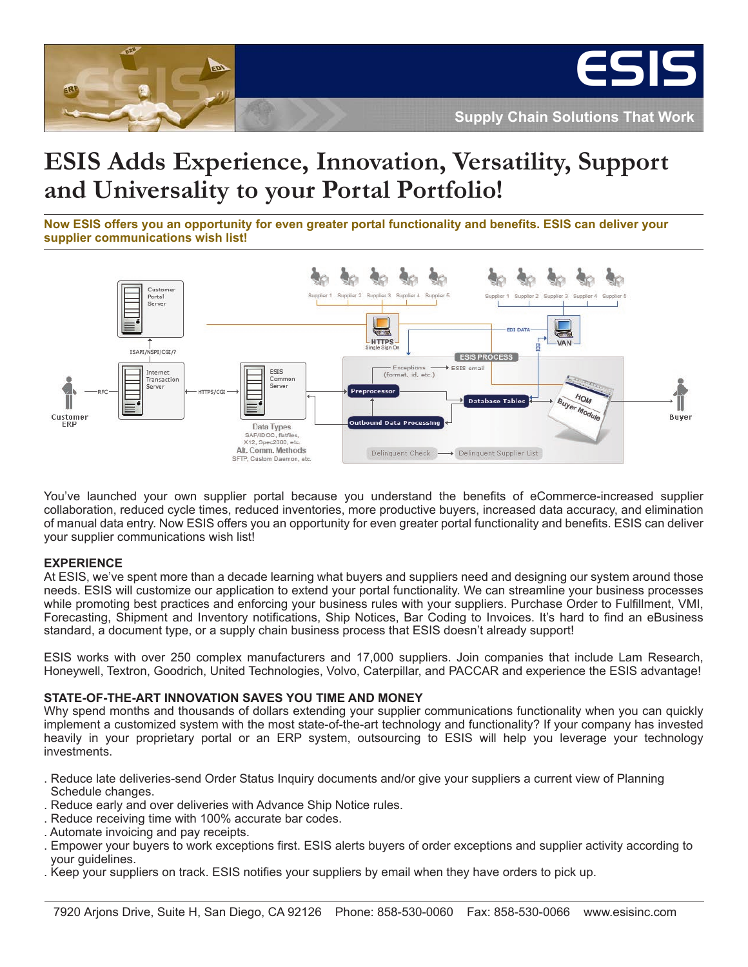

# **ESIS Adds Experience, Innovation, Versatility, Support and Universality to your Portal Portfolio!**

**Now ESIS offers you an opportunity for even greater portal functionality and benefits. ESIS can deliver your supplier communications wish list!** 



You've launched your own supplier portal because you understand the benefits of eCommerce-increased supplier collaboration, reduced cycle times, reduced inventories, more productive buyers, increased data accuracy, and elimination of manual data entry. Now ESIS offers you an opportunity for even greater portal functionality and benefits. ESIS can deliver your supplier communications wish list!

#### **EXPERIENCE**

At ESIS, we've spent more than a decade learning what buyers and suppliers need and designing our system around those needs. ESIS will customize our application to extend your portal functionality. We can streamline your business processes while promoting best practices and enforcing your business rules with your suppliers. Purchase Order to Fulfillment, VMI, Forecasting, Shipment and Inventory notifications, Ship Notices, Bar Coding to Invoices. It's hard to find an eBusiness standard, a document type, or a supply chain business process that ESIS doesn't already support!

ESIS works with over 250 complex manufacturers and 17,000 suppliers. Join companies that include Lam Research, Honeywell, Textron, Goodrich, United Technologies, Volvo, Caterpillar, and PACCAR and experience the ESIS advantage!

### **STATE-OF-THE-ART INNOVATION SAVES YOU TIME AND MONEY**

Why spend months and thousands of dollars extending your supplier communications functionality when you can quickly implement a customized system with the most state-of-the-art technology and functionality? If your company has invested heavily in your proprietary portal or an ERP system, outsourcing to ESIS will help you leverage your technology investments.

- . Reduce late deliveries-send Order Status Inquiry documents and/or give your suppliers a current view of Planning Schedule changes.
- . Reduce early and over deliveries with Advance Ship Notice rules.
- . Reduce receiving time with 100% accurate bar codes.
- . Automate invoicing and pay receipts.
- . Empower your buyers to work exceptions first. ESIS alerts buyers of order exceptions and supplier activity according to your guidelines.
- . Keep your suppliers on track. ESIS notifies your suppliers by email when they have orders to pick up.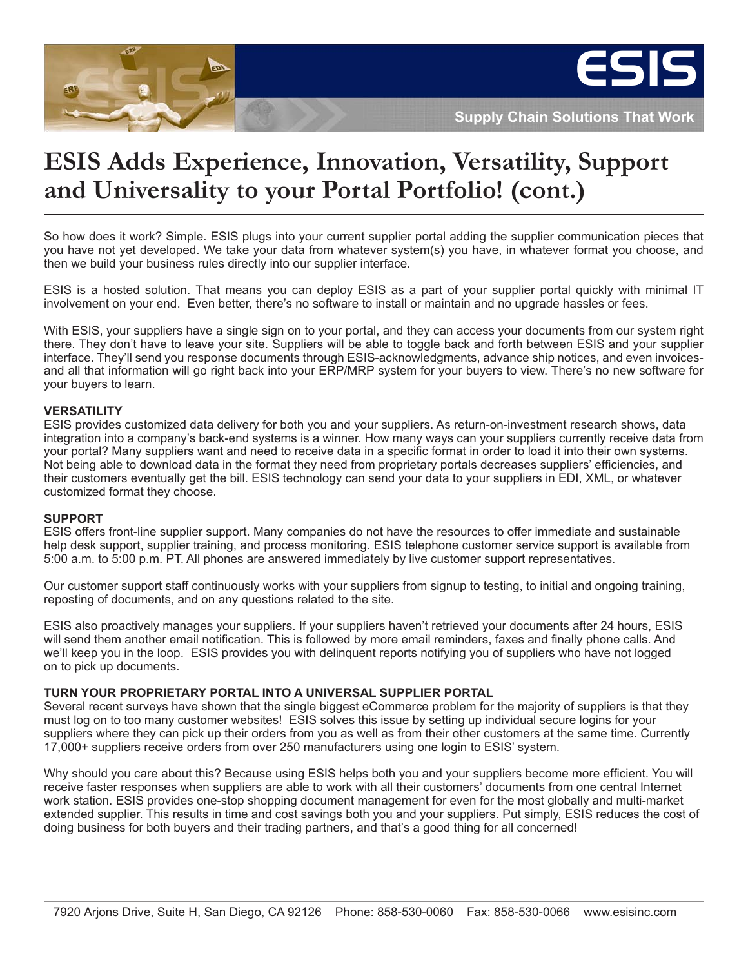



# **ESIS Adds Experience, Innovation, Versatility, Support and Universality to your Portal Portfolio! (cont.)**

So how does it work? Simple. ESIS plugs into your current supplier portal adding the supplier communication pieces that you have not yet developed. We take your data from whatever system(s) you have, in whatever format you choose, and then we build your business rules directly into our supplier interface.

ESIS is a hosted solution. That means you can deploy ESIS as a part of your supplier portal quickly with minimal IT involvement on your end. Even better, there's no software to install or maintain and no upgrade hassles or fees.

With ESIS, your suppliers have a single sign on to your portal, and they can access your documents from our system right there. They don't have to leave your site. Suppliers will be able to toggle back and forth between ESIS and your supplier interface. They'll send you response documents through ESIS-acknowledgments, advance ship notices, and even invoicesand all that information will go right back into your ERP/MRP system for your buyers to view. There's no new software for your buyers to learn.

#### **VERSATILITY**

ESIS provides customized data delivery for both you and your suppliers. As return-on-investment research shows, data integration into a company's back-end systems is a winner. How many ways can your suppliers currently receive data from your portal? Many suppliers want and need to receive data in a specific format in order to load it into their own systems. Not being able to download data in the format they need from proprietary portals decreases suppliers' efficiencies, and their customers eventually get the bill. ESIS technology can send your data to your suppliers in EDI, XML, or whatever customized format they choose.

#### **SUPPORT**

ESIS offers front-line supplier support. Many companies do not have the resources to offer immediate and sustainable help desk support, supplier training, and process monitoring. ESIS telephone customer service support is available from 5:00 a.m. to 5:00 p.m. PT. All phones are answered immediately by live customer support representatives.

Our customer support staff continuously works with your suppliers from signup to testing, to initial and ongoing training, reposting of documents, and on any questions related to the site.

ESIS also proactively manages your suppliers. If your suppliers haven't retrieved your documents after 24 hours, ESIS will send them another email notification. This is followed by more email reminders, faxes and finally phone calls. And we'll keep you in the loop. ESIS provides you with delinquent reports notifying you of suppliers who have not logged on to pick up documents.

#### **TURN YOUR PROPRIETARY PORTAL INTO A UNIVERSAL SUPPLIER PORTAL**

Several recent surveys have shown that the single biggest eCommerce problem for the majority of suppliers is that they must log on to too many customer websites! ESIS solves this issue by setting up individual secure logins for your suppliers where they can pick up their orders from you as well as from their other customers at the same time. Currently 17,000+ suppliers receive orders from over 250 manufacturers using one login to ESIS' system.

Why should you care about this? Because using ESIS helps both you and your suppliers become more efficient. You will receive faster responses when suppliers are able to work with all their customers' documents from one central Internet work station. ESIS provides one-stop shopping document management for even for the most globally and multi-market extended supplier. This results in time and cost savings both you and your suppliers. Put simply, ESIS reduces the cost of doing business for both buyers and their trading partners, and that's a good thing for all concerned!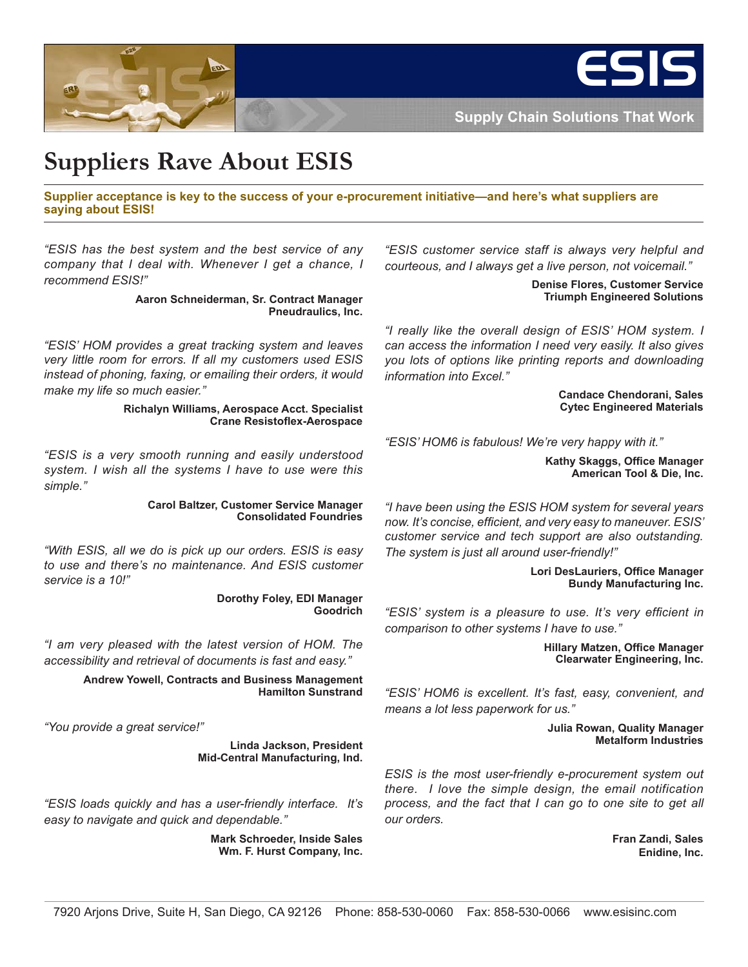



# **Suppliers Rave About ESIS**

**Supplier acceptance is key to the success of your e-procurement initiative—and here's what suppliers are saying about ESIS!**

*"ESIS has the best system and the best service of any company that I deal with. Whenever I get a chance, I recommend ESIS!"* 

> **Aaron Schneiderman, Sr. Contract Manager Pneudraulics, Inc.**

*"ESIS' HOM provides a great tracking system and leaves very little room for errors. If all my customers used ESIS instead of phoning, faxing, or emailing their orders, it would make my life so much easier."*

> **Richalyn Williams, Aerospace Acct. Specialist Crane Resistoflex-Aerospace**

*"ESIS is a very smooth running and easily understood system. I wish all the systems I have to use were this simple."*

> **Carol Baltzer, Customer Service Manager Consolidated Foundries**

*"With ESIS, all we do is pick up our orders. ESIS is easy to use and there's no maintenance. And ESIS customer service is a 10!"*

> **Dorothy Foley, EDI Manager Goodrich**

*"I am very pleased with the latest version of HOM. The accessibility and retrieval of documents is fast and easy."*

> **Andrew Yowell, Contracts and Business Management Hamilton Sunstrand**

*"You provide a great service!"*

**Linda Jackson, President Mid-Central Manufacturing, Ind.**

*"ESIS loads quickly and has a user-friendly interface. It's easy to navigate and quick and dependable."* 

> **Mark Schroeder, Inside Sales Wm. F. Hurst Company, Inc.**

*"ESIS customer service staff is always very helpful and courteous, and I always get a live person, not voicemail."* 

> **Denise Flores, Customer Service Triumph Engineered Solutions**

*"I really like the overall design of ESIS' HOM system. I can access the information I need very easily. It also gives you lots of options like printing reports and downloading information into Excel."* 

> **Candace Chendorani, Sales Cytec Engineered Materials**

*"ESIS' HOM6 is fabulous! We're very happy with it."*

**Kathy Skaggs, Office Manager American Tool & Die, Inc.**

*"I have been using the ESIS HOM system for several years now. It's concise, efficient, and very easy to maneuver. ESIS' customer service and tech support are also outstanding. The system is just all around user-friendly!"* 

> **Lori DesLauriers, Office Manager Bundy Manufacturing Inc.**

*"ESIS' system is a pleasure to use. It's very efficient in comparison to other systems I have to use."*

> **Hillary Matzen, Office Manager Clearwater Engineering, Inc.**

*"ESIS' HOM6 is excellent. It's fast, easy, convenient, and means a lot less paperwork for us."*

> **Julia Rowan, Quality Manager Metalform Industries**

*ESIS is the most user-friendly e-procurement system out there. I love the simple design, the email notification process, and the fact that I can go to one site to get all our orders.*

> **Fran Zandi, Sales Enidine, Inc.**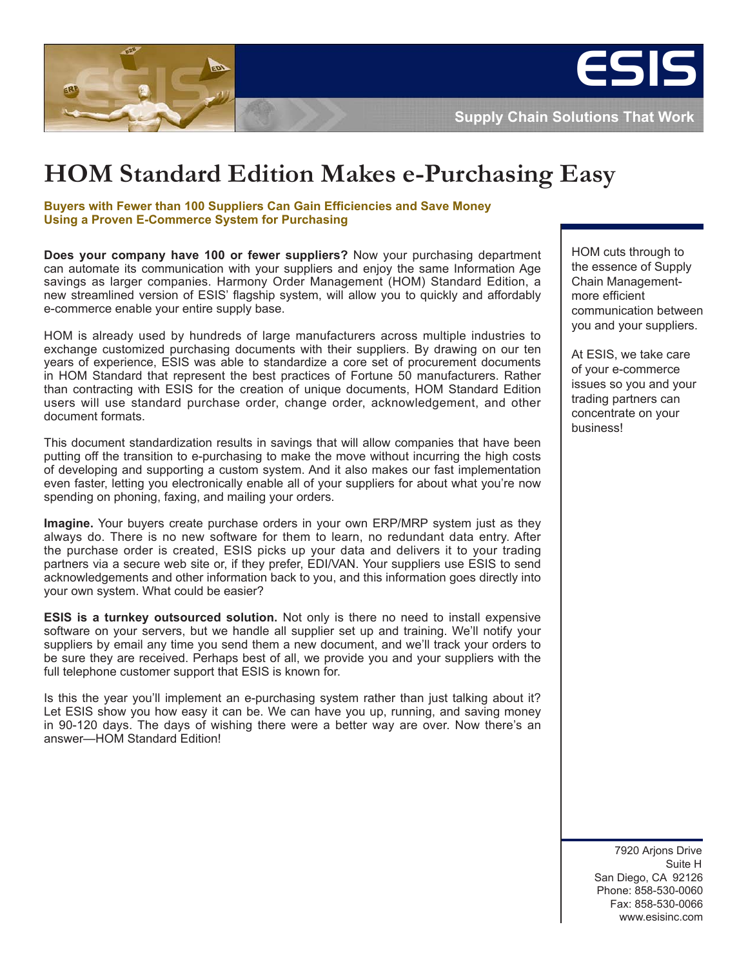

# **HOM Standard Edition Makes e-Purchasing Easy**

#### **Buyers with Fewer than 100 Suppliers Can Gain Efficiencies and Save Money Using a Proven E-Commerce System for Purchasing**

**Does your company have 100 or fewer suppliers?** Now your purchasing department can automate its communication with your suppliers and enjoy the same Information Age savings as larger companies. Harmony Order Management (HOM) Standard Edition, a new streamlined version of ESIS' flagship system, will allow you to quickly and affordably e-commerce enable your entire supply base.

HOM is already used by hundreds of large manufacturers across multiple industries to exchange customized purchasing documents with their suppliers. By drawing on our ten years of experience, ESIS was able to standardize a core set of procurement documents in HOM Standard that represent the best practices of Fortune 50 manufacturers. Rather than contracting with ESIS for the creation of unique documents, HOM Standard Edition users will use standard purchase order, change order, acknowledgement, and other document formats.

This document standardization results in savings that will allow companies that have been putting off the transition to e-purchasing to make the move without incurring the high costs of developing and supporting a custom system. And it also makes our fast implementation even faster, letting you electronically enable all of your suppliers for about what you're now spending on phoning, faxing, and mailing your orders.

**Imagine.** Your buyers create purchase orders in your own ERP/MRP system just as they always do. There is no new software for them to learn, no redundant data entry. After the purchase order is created, ESIS picks up your data and delivers it to your trading partners via a secure web site or, if they prefer, EDI/VAN. Your suppliers use ESIS to send acknowledgements and other information back to you, and this information goes directly into your own system. What could be easier?

**ESIS is a turnkey outsourced solution.** Not only is there no need to install expensive software on your servers, but we handle all supplier set up and training. We'll notify your suppliers by email any time you send them a new document, and we'll track your orders to be sure they are received. Perhaps best of all, we provide you and your suppliers with the full telephone customer support that ESIS is known for.

Is this the year you'll implement an e-purchasing system rather than just talking about it? Let ESIS show you how easy it can be. We can have you up, running, and saving money in 90-120 days. The days of wishing there were a better way are over. Now there's an answer—HOM Standard Edition!

HOM cuts through to the essence of Supply Chain Managementmore efficient communication between you and your suppliers.

At ESIS, we take care of your e-commerce issues so you and your trading partners can concentrate on your business!

> 7920 Arjons Drive Suite H San Diego, CA 92126 Phone: 858-530-0060 Fax: 858-530-0066 www.esisinc.com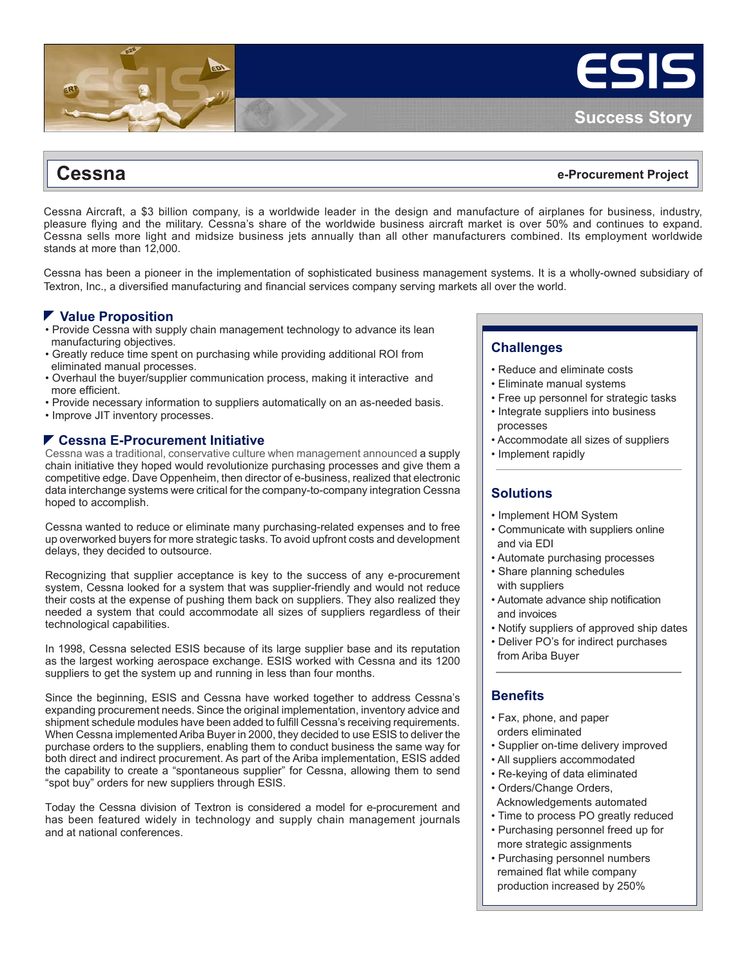



**Success Story**

# **Cessna e-Procurement Project**

Cessna Aircraft, a \$3 billion company, is a worldwide leader in the design and manufacture of airplanes for business, industry, pleasure flying and the military. Cessna's share of the worldwide business aircraft market is over 50% and continues to expand. Cessna sells more light and midsize business jets annually than all other manufacturers combined. Its employment worldwide stands at more than 12,000.

Cessna has been a pioneer in the implementation of sophisticated business management systems. It is a wholly-owned subsidiary of Textron, Inc., a diversified manufacturing and financial services company serving markets all over the world.

# **Value Proposition**

- Provide Cessna with supply chain management technology to advance its lean manufacturing objectives.
- Greatly reduce time spent on purchasing while providing additional ROI from eliminated manual processes.
- Overhaul the buyer/supplier communication process, making it interactive and more efficient.
- Provide necessary information to suppliers automatically on an as-needed basis.
- Improve JIT inventory processes.

### **Cessna E-Procurement Initiative**

Cessna was a traditional, conservative culture when management announced a supply chain initiative they hoped would revolutionize purchasing processes and give them a competitive edge. Dave Oppenheim, then director of e-business, realized that electronic data interchange systems were critical for the company-to-company integration Cessna hoped to accomplish.

Cessna wanted to reduce or eliminate many purchasing-related expenses and to free up overworked buyers for more strategic tasks. To avoid upfront costs and development delays, they decided to outsource.

Recognizing that supplier acceptance is key to the success of any e-procurement system, Cessna looked for a system that was supplier-friendly and would not reduce their costs at the expense of pushing them back on suppliers. They also realized they needed a system that could accommodate all sizes of suppliers regardless of their technological capabilities.

In 1998, Cessna selected ESIS because of its large supplier base and its reputation as the largest working aerospace exchange. ESIS worked with Cessna and its 1200 suppliers to get the system up and running in less than four months.

Since the beginning, ESIS and Cessna have worked together to address Cessna's expanding procurement needs. Since the original implementation, inventory advice and shipment schedule modules have been added to fulfill Cessna's receiving requirements. When Cessna implemented Ariba Buyer in 2000, they decided to use ESIS to deliver the purchase orders to the suppliers, enabling them to conduct business the same way for both direct and indirect procurement. As part of the Ariba implementation, ESIS added the capability to create a "spontaneous supplier" for Cessna, allowing them to send "spot buy" orders for new suppliers through ESIS.

Today the Cessna division of Textron is considered a model for e-procurement and has been featured widely in technology and supply chain management journals and at national conferences.

### **Challenges**

- Reduce and eliminate costs
- Eliminate manual systems
- Free up personnel for strategic tasks
- Integrate suppliers into business processes
- Accommodate all sizes of suppliers
- Implement rapidly

## **Solutions**

- Implement HOM System
- Communicate with suppliers online and via EDI
- Automate purchasing processes
- Share planning schedules with suppliers
- Automate advance ship notification and invoices
- Notify suppliers of approved ship dates
- Deliver PO's for indirect purchases from Ariba Buyer

### **Benefits**

- Fax, phone, and paper orders eliminated
- Supplier on-time delivery improved
- All suppliers accommodated
- Re-keying of data eliminated
- Orders/Change Orders, Acknowledgements automated
- Time to process PO greatly reduced
- Purchasing personnel freed up for more strategic assignments
- Purchasing personnel numbers remained flat while company production increased by 250%